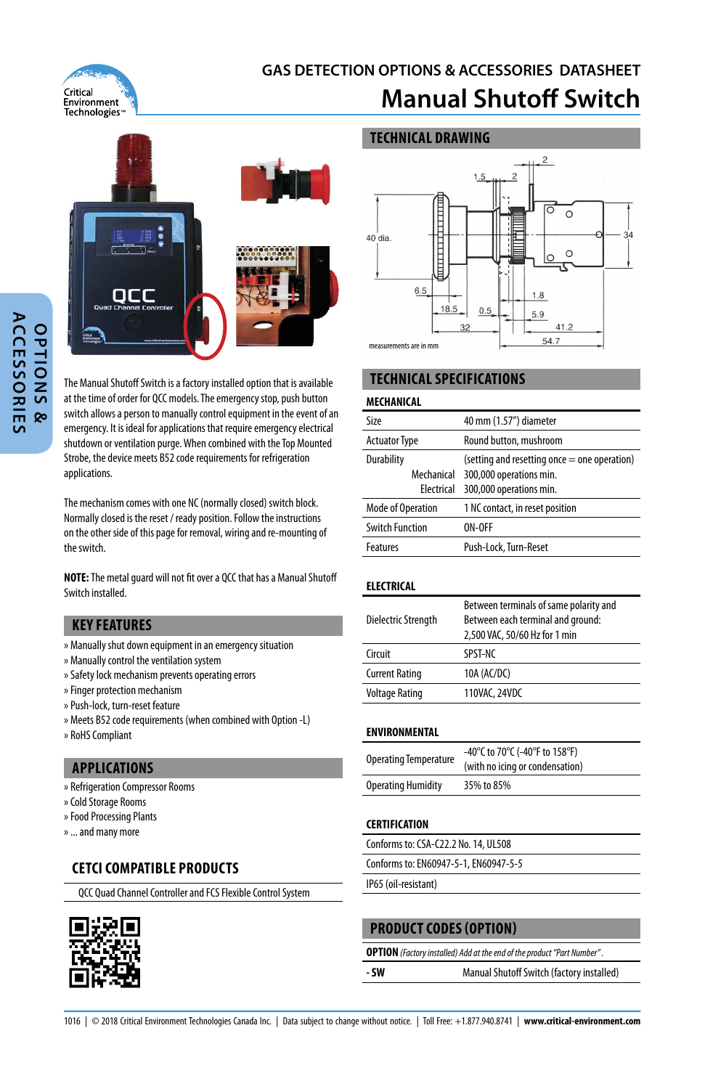

# **GAS DETECTION OPTIONS & ACCESSORIES DATASHEET Manual Shutoff Switch**



The Manual Shutoff Switch is a factory installed option that is available at the time of order for QCC models. The emergency stop, push button switch allows a person to manually control equipment in the event of an emergency. It is ideal for applications that require emergency electrical shutdown or ventilation purge. When combined with the Top Mounted Strobe, the device meets B52 code requirements for refrigeration applications.

The mechanism comes with one NC (normally closed) switch block. Normally closed is the reset / ready position. Follow the instructions on the other side of this page for removal, wiring and re-mounting of the switch.

**NOTE:** The metal guard will not fit over a QCC that has a Manual Shutoff Switch installed.

# **KEY FEATURES**

- » Manually shut down equipment in an emergency situation
- » Manually control the ventilation system
- » Safety lock mechanism prevents operating errors
- » Finger protection mechanism
- » Push-lock, turn-reset feature
- » Meets B52 code requirements (when combined with Option -L)
- » RoHS Compliant

## **APPLICATIONS**

- » Refrigeration Compressor Rooms
- » Cold Storage Rooms
- » Food Processing Plants
- » ... and many more

# **CETCI COMPATIBLE PRODUCTS**

QCC Quad Channel Controller and FCS Flexible Control System





## **TECHNICAL SPECIFICATIONS**

## **MECHANICAL**

| Size                     | 40 mm (1.57") diameter                       |
|--------------------------|----------------------------------------------|
| <b>Actuator Type</b>     | Round button, mushroom                       |
| Durability               | (setting and resetting once = one operation) |
| Mechanical               | 300,000 operations min.                      |
| Electrical               | 300,000 operations min.                      |
| <b>Mode of Operation</b> | 1 NC contact, in reset position              |
| <b>Switch Function</b>   | ON-OFF                                       |
| Features                 | Push-Lock, Turn-Reset                        |

### **ELECTRICAL**

| Dielectric Strength   | Between terminals of same polarity and<br>Between each terminal and ground:<br>2,500 VAC, 50/60 Hz for 1 min |
|-----------------------|--------------------------------------------------------------------------------------------------------------|
| Circuit               | SPST-NC                                                                                                      |
| <b>Current Rating</b> | 10A (AC/DC)                                                                                                  |
| <b>Voltage Rating</b> | 110VAC, 24VDC                                                                                                |

## **ENVIRONMENTAL**

| <b>Operating Temperature</b> | -40°C to 70°C (-40°F to 158°F)<br>(with no icing or condensation) |
|------------------------------|-------------------------------------------------------------------|
| <b>Operating Humidity</b>    | 35% to 85%                                                        |

## **CERTIFICATION**

| Conforms to: CSA-C22.2 No. 14, UL508  |  |
|---------------------------------------|--|
| Conforms to: EN60947-5-1, EN60947-5-5 |  |
| IP65 (oil-resistant)                  |  |

# **PRODUCT CODES (OPTION)**

| <b>OPTION</b> (Factory installed) Add at the end of the product "Part Number". |                                           |  |
|--------------------------------------------------------------------------------|-------------------------------------------|--|
| - SW                                                                           | Manual Shutoff Switch (factory installed) |  |